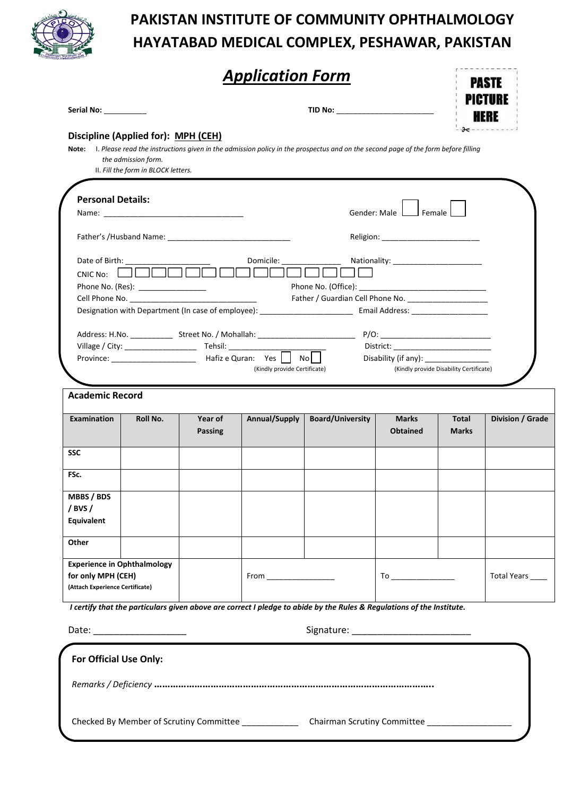

# **PAKISTAN INSTITUTE OF COMMUNITY OPHTHALMOLOGY HAYATABAD MEDICAL COMPLEX, PESHAWAR, PAKISTAN**

|                                                                                                                                                                                             |                                                            |                | <b>Application Form</b>      |                                                                                                                                         |                           | PAST                                    | PICTURE          |  |
|---------------------------------------------------------------------------------------------------------------------------------------------------------------------------------------------|------------------------------------------------------------|----------------|------------------------------|-----------------------------------------------------------------------------------------------------------------------------------------|---------------------------|-----------------------------------------|------------------|--|
| Serial No: ____________                                                                                                                                                                     |                                                            |                |                              | TID No: _______________________                                                                                                         |                           |                                         | HERE             |  |
| Discipline (Applied for): MPH (CEH)                                                                                                                                                         |                                                            |                |                              |                                                                                                                                         |                           |                                         |                  |  |
|                                                                                                                                                                                             | the admission form.<br>II. Fill the form in BLOCK letters. |                |                              | Note: I. Please read the instructions given in the admission policy in the prospectus and on the second page of the form before filling |                           |                                         |                  |  |
| <b>Personal Details:</b>                                                                                                                                                                    |                                                            |                |                              |                                                                                                                                         |                           |                                         |                  |  |
|                                                                                                                                                                                             |                                                            |                |                              |                                                                                                                                         | Gender: Male   Female     |                                         |                  |  |
|                                                                                                                                                                                             |                                                            |                |                              |                                                                                                                                         |                           |                                         |                  |  |
| Date of Birth: __________<br>CNIC No:                                                                                                                                                       | Phone No. (Res): ________________                          |                |                              |                                                                                                                                         | Nationality: Nationality: |                                         |                  |  |
|                                                                                                                                                                                             |                                                            |                |                              |                                                                                                                                         |                           |                                         |                  |  |
|                                                                                                                                                                                             |                                                            |                |                              | Designation with Department (In case of employee): ______________________________ Email Address: ___________________                    |                           |                                         |                  |  |
|                                                                                                                                                                                             |                                                            |                |                              |                                                                                                                                         |                           |                                         |                  |  |
|                                                                                                                                                                                             |                                                            |                |                              |                                                                                                                                         | Disability (if any): 2000 |                                         |                  |  |
|                                                                                                                                                                                             |                                                            |                | (Kindly provide Certificate) |                                                                                                                                         |                           | (Kindly provide Disability Certificate) |                  |  |
|                                                                                                                                                                                             |                                                            |                |                              |                                                                                                                                         |                           |                                         |                  |  |
| <b>Academic Record</b>                                                                                                                                                                      |                                                            |                |                              |                                                                                                                                         |                           |                                         |                  |  |
|                                                                                                                                                                                             | Roll No.                                                   | Year of        | Annual/Supply                | <b>Board/University</b>                                                                                                                 | <b>Marks</b>              | Total                                   | Division / Grade |  |
|                                                                                                                                                                                             |                                                            | <b>Passing</b> |                              |                                                                                                                                         | <b>Obtained</b>           | <b>Marks</b>                            |                  |  |
|                                                                                                                                                                                             |                                                            |                |                              |                                                                                                                                         |                           |                                         |                  |  |
|                                                                                                                                                                                             |                                                            |                |                              |                                                                                                                                         |                           |                                         |                  |  |
|                                                                                                                                                                                             |                                                            |                |                              |                                                                                                                                         |                           |                                         |                  |  |
|                                                                                                                                                                                             |                                                            |                |                              |                                                                                                                                         |                           |                                         |                  |  |
|                                                                                                                                                                                             |                                                            |                |                              |                                                                                                                                         |                           |                                         |                  |  |
|                                                                                                                                                                                             |                                                            |                | From ________________        |                                                                                                                                         |                           |                                         | Total Years ____ |  |
|                                                                                                                                                                                             |                                                            |                |                              |                                                                                                                                         |                           |                                         |                  |  |
| Examination<br>SSC<br>FSc.<br><b>MBBS / BDS</b><br>$/$ BVS $/$<br><b>Equivalent</b><br>Other<br><b>Experience in Ophthalmology</b><br>for only MPH (CEH)<br>(Attach Experience Certificate) |                                                            |                |                              | I certify that the particulars given above are correct I pledge to abide by the Rules & Regulations of the Institute.                   |                           |                                         |                  |  |
| Date: ____________________                                                                                                                                                                  |                                                            |                |                              |                                                                                                                                         |                           |                                         |                  |  |
| For Official Use Only:                                                                                                                                                                      |                                                            |                |                              |                                                                                                                                         |                           |                                         |                  |  |
|                                                                                                                                                                                             |                                                            |                |                              |                                                                                                                                         |                           |                                         |                  |  |